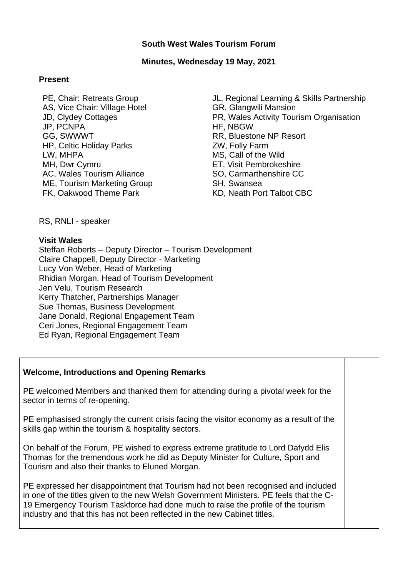### **South West Wales Tourism Forum**

### **Minutes, Wednesday 19 May, 2021**

#### **Present**

PE, Chair: Retreats Group AS, Vice Chair: Village Hotel JD, Clydey Cottages JP, PCNPA GG, SWWWT HP, Celtic Holiday Parks LW, MHPA MH, Dwr Cymru AC, Wales Tourism Alliance ME, Tourism Marketing Group FK, Oakwood Theme Park

JL, Regional Learning & Skills Partnership GR, Glangwili Mansion PR, Wales Activity Tourism Organisation HF, NBGW RR, Bluestone NP Resort ZW, Folly Farm MS, Call of the Wild ET, Visit Pembrokeshire SO, Carmarthenshire CC SH, Swansea KD, Neath Port Talbot CBC

RS, RNLI - speaker

### **Visit Wales**

Steffan Roberts – Deputy Director – Tourism Development Claire Chappell, Deputy Director - Marketing Lucy Von Weber, Head of Marketing Rhidian Morgan, Head of Tourism Development Jen Velu, Tourism Research Kerry Thatcher, Partnerships Manager Sue Thomas, Business Development Jane Donald, Regional Engagement Team Ceri Jones, Regional Engagement Team Ed Ryan, Regional Engagement Team

## **Welcome, Introductions and Opening Remarks**

PE welcomed Members and thanked them for attending during a pivotal week for the sector in terms of re-opening.

PE emphasised strongly the current crisis facing the visitor economy as a result of the skills gap within the tourism & hospitality sectors.

On behalf of the Forum, PE wished to express extreme gratitude to Lord Dafydd Elis Thomas for the tremendous work he did as Deputy Minister for Culture, Sport and Tourism and also their thanks to Eluned Morgan.

PE expressed her disappointment that Tourism had not been recognised and included in one of the titles given to the new Welsh Government Ministers. PE feels that the C-19 Emergency Tourism Taskforce had done much to raise the profile of the tourism industry and that this has not been reflected in the new Cabinet titles.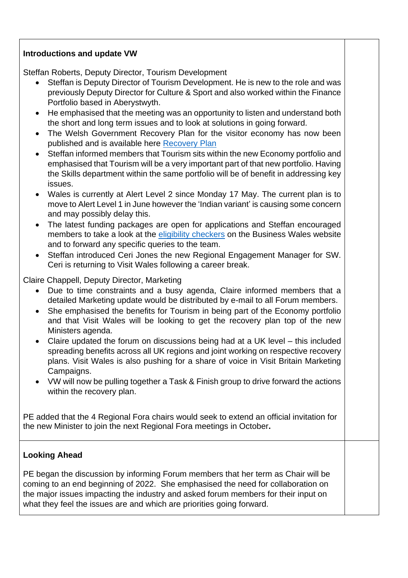# **Introductions and update VW**

Steffan Roberts, Deputy Director, Tourism Development

- Steffan is Deputy Director of Tourism Development. He is new to the role and was previously Deputy Director for Culture & Sport and also worked within the Finance Portfolio based in Aberystwyth.
- He emphasised that the meeting was an opportunity to listen and understand both the short and long term issues and to look at solutions in going forward.
- The Welsh Government Recovery Plan for the visitor economy has now been published and is available here [Recovery Plan](https://gov.wales/sites/default/files/publications/2021-03/lets-shape-the-future_0.pdf)
- Steffan informed members that Tourism sits within the new Economy portfolio and emphasised that Tourism will be a very important part of that new portfolio. Having the Skills department within the same portfolio will be of benefit in addressing key issues.
- Wales is currently at Alert Level 2 since Monday 17 May. The current plan is to move to Alert Level 1 in June however the 'Indian variant' is causing some concern and may possibly delay this.
- The latest funding packages are open for applications and Steffan encouraged members to take a look at the [eligibility checkers](https://businesswales.gov.wales/coronavirus-advice/) on the Business Wales website and to forward any specific queries to the team.
- Steffan introduced Ceri Jones the new Regional Engagement Manager for SW. Ceri is returning to Visit Wales following a career break.

Claire Chappell, Deputy Director, Marketing

- Due to time constraints and a busy agenda, Claire informed members that a detailed Marketing update would be distributed by e-mail to all Forum members.
- She emphasised the benefits for Tourism in being part of the Economy portfolio and that Visit Wales will be looking to get the recovery plan top of the new Ministers agenda.
- Claire updated the forum on discussions being had at a UK level this included spreading benefits across all UK regions and joint working on respective recovery plans. Visit Wales is also pushing for a share of voice in Visit Britain Marketing Campaigns.
- VW will now be pulling together a Task & Finish group to drive forward the actions within the recovery plan.

PE added that the 4 Regional Fora chairs would seek to extend an official invitation for the new Minister to join the next Regional Fora meetings in October**.**

# **Looking Ahead**

PE began the discussion by informing Forum members that her term as Chair will be coming to an end beginning of 2022. She emphasised the need for collaboration on the major issues impacting the industry and asked forum members for their input on what they feel the issues are and which are priorities going forward.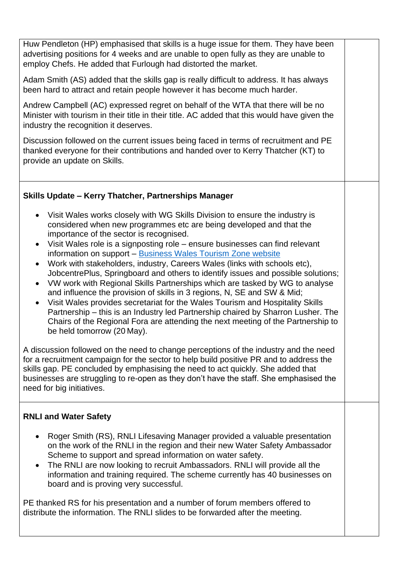Huw Pendleton (HP) emphasised that skills is a huge issue for them. They have been advertising positions for 4 weeks and are unable to open fully as they are unable to employ Chefs. He added that Furlough had distorted the market. Adam Smith (AS) added that the skills gap is really difficult to address. It has always been hard to attract and retain people however it has become much harder. Andrew Campbell (AC) expressed regret on behalf of the WTA that there will be no Minister with tourism in their title in their title. AC added that this would have given the industry the recognition it deserves. Discussion followed on the current issues being faced in terms of recruitment and PE thanked everyone for their contributions and handed over to Kerry Thatcher (KT) to provide an update on Skills. **Skills Update – Kerry Thatcher, Partnerships Manager** Visit Wales works closely with WG Skills Division to ensure the industry is considered when new programmes etc are being developed and that the importance of the sector is recognised. Visit Wales role is a signposting role – ensure businesses can find relevant information on support – [Business Wales Tourism](https://businesswales.gov.wales/tourism/skills) Zone website Work with stakeholders, industry, Careers Wales (links with schools etc), JobcentrePlus, Springboard and others to identify issues and possible solutions; VW work with Regional Skills Partnerships which are tasked by WG to analyse and influence the provision of skills in 3 regions, N, SE and SW & Mid; Visit Wales provides secretariat for the Wales Tourism and Hospitality Skills Partnership – this is an Industry led Partnership chaired by Sharron Lusher. The Chairs of the Regional Fora are attending the next meeting of the Partnership to be held tomorrow (20 May). A discussion followed on the need to change perceptions of the industry and the need for a recruitment campaign for the sector to help build positive PR and to address the skills gap. PE concluded by emphasising the need to act quickly. She added that businesses are struggling to re-open as they don't have the staff. She emphasised the need for big initiatives. **RNLI and Water Safety** • Roger Smith (RS), RNLI Lifesaving Manager provided a valuable presentation on the work of the RNLI in the region and their new Water Safety Ambassador Scheme to support and spread information on water safety. • The RNLI are now looking to recruit Ambassadors. RNLI will provide all the

information and training required. The scheme currently has 40 businesses on board and is proving very successful.

PE thanked RS for his presentation and a number of forum members offered to distribute the information. The RNLI slides to be forwarded after the meeting.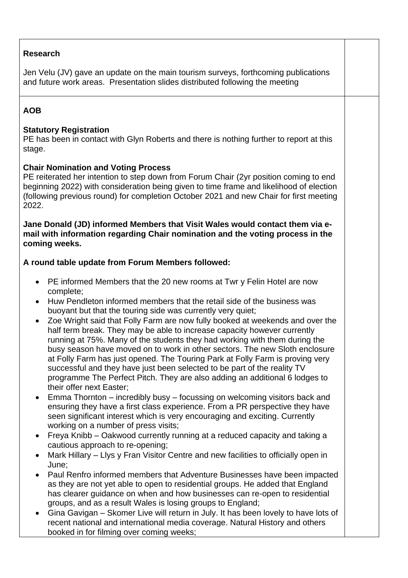# **Research**

Jen Velu (JV) gave an update on the main tourism surveys, forthcoming publications and future work areas. Presentation slides distributed following the meeting

# **AOB**

## **Statutory Registration**

PE has been in contact with Glyn Roberts and there is nothing further to report at this stage.

## **Chair Nomination and Voting Process**

PE reiterated her intention to step down from Forum Chair (2yr position coming to end beginning 2022) with consideration being given to time frame and likelihood of election (following previous round) for completion October 2021 and new Chair for first meeting 2022.

**Jane Donald (JD) informed Members that Visit Wales would contact them via email with information regarding Chair nomination and the voting process in the coming weeks.**

## **A round table update from Forum Members followed:**

- PE informed Members that the 20 new rooms at Twr y Felin Hotel are now complete;
- Huw Pendleton informed members that the retail side of the business was buoyant but that the touring side was currently very quiet;
- Zoe Wright said that Folly Farm are now fully booked at weekends and over the half term break. They may be able to increase capacity however currently running at 75%. Many of the students they had working with them during the busy season have moved on to work in other sectors. The new Sloth enclosure at Folly Farm has just opened. The Touring Park at Folly Farm is proving very successful and they have just been selected to be part of the reality TV programme The Perfect Pitch. They are also adding an additional 6 lodges to their offer next Easter;
- Emma Thornton incredibly busy focussing on welcoming visitors back and ensuring they have a first class experience. From a PR perspective they have seen significant interest which is very encouraging and exciting. Currently working on a number of press visits;
- Freya Knibb Oakwood currently running at a reduced capacity and taking a cautious approach to re-opening;
- Mark Hillary Llys y Fran Visitor Centre and new facilities to officially open in June;
- Paul Renfro informed members that Adventure Businesses have been impacted as they are not yet able to open to residential groups. He added that England has clearer guidance on when and how businesses can re-open to residential groups, and as a result Wales is losing groups to England;
- Gina Gavigan Skomer Live will return in July. It has been lovely to have lots of recent national and international media coverage. Natural History and others booked in for filming over coming weeks;